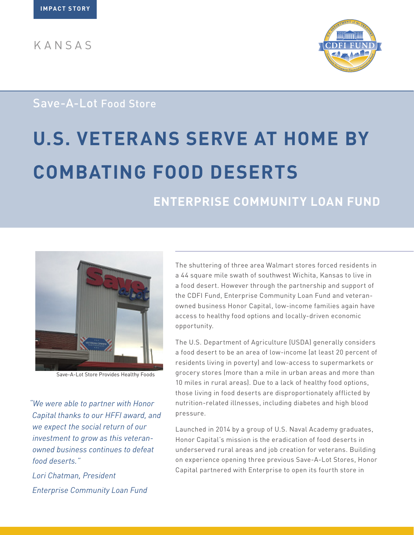KANSAS



# Save-A-Lot Food Store

# **U.S. VETERANS SERVE AT HOME BY COMBATING FOOD DESERTS**

# **ENTERPRISE COMMUNITY LOAN FUND**



Save-A-Lot Store Provides Healthy Foods

*"We were able to partner with Honor Capital thanks to our HFFI award, and we expect the social return of our investment to grow as this veteranowned business continues to defeat food deserts."* 

*Lori Chatman, President Enterprise Community Loan Fund* The shuttering of three area Walmart stores forced residents in a 44 square mile swath of southwest Wichita, Kansas to live in a food desert. However through the partnership and support of the CDFI Fund, Enterprise Community Loan Fund and veteranowned business Honor Capital, low-income families again have access to healthy food options and locally-driven economic opportunity.

The U.S. Department of Agriculture (USDA) generally considers a food desert to be an area of low-income (at least 20 percent of residents living in poverty) and low-access to supermarkets or grocery stores (more than a mile in urban areas and more than 10 miles in rural areas). Due to a lack of healthy food options, those living in food deserts are disproportionately afflicted by nutrition-related illnesses, including diabetes and high blood pressure.

Launched in 2014 by a group of U.S. Naval Academy graduates, Honor Capital's mission is the eradication of food deserts in underserved rural areas and job creation for veterans. Building on experience opening three previous Save-A-Lot Stores, Honor Capital partnered with Enterprise to open its fourth store in